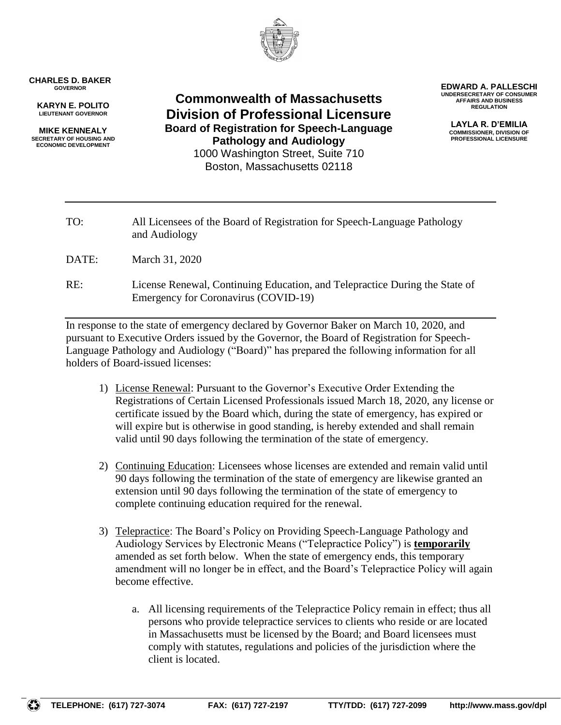

## **CHARLES D. BAKER GOVERNOR**

**KARYN E. POLITO LIEUTENANT GOVERNOR**

**MIKE KENNEALY SECRETARY OF HOUSING AND ECONOMIC DEVELOPMENT**

**Commonwealth of Massachusetts Division of Professional Licensure Board of Registration for Speech-Language Pathology and Audiology** 1000 Washington Street, Suite 710 Boston, Massachusetts 02118

**EDWARD A. PALLESCHI UNDERSECRETARY OF CONSUMER AFFAIRS AND BUSINESS REGULATION**

> **LAYLA R. D'EMILIA COMMISSIONER, DIVISION OF PROFESSIONAL LICENSURE**

| TO:   | All Licensees of the Board of Registration for Speech-Language Pathology<br>and Audiology                           |
|-------|---------------------------------------------------------------------------------------------------------------------|
| DATE: | March 31, 2020                                                                                                      |
| RE:   | License Renewal, Continuing Education, and Telepractice During the State of<br>Emergency for Coronavirus (COVID-19) |

In response to the state of emergency declared by Governor Baker on March 10, 2020, and pursuant to Executive Orders issued by the Governor, the Board of Registration for Speech-Language Pathology and Audiology ("Board)" has prepared the following information for all holders of Board-issued licenses:

- 1) License Renewal: Pursuant to the Governor's Executive Order Extending the Registrations of Certain Licensed Professionals issued March 18, 2020, any license or certificate issued by the Board which, during the state of emergency, has expired or will expire but is otherwise in good standing, is hereby extended and shall remain valid until 90 days following the termination of the state of emergency.
- 2) Continuing Education: Licensees whose licenses are extended and remain valid until 90 days following the termination of the state of emergency are likewise granted an extension until 90 days following the termination of the state of emergency to complete continuing education required for the renewal.
- 3) Telepractice: The Board's Policy on Providing Speech-Language Pathology and Audiology Services by Electronic Means ("Telepractice Policy") is **temporarily** amended as set forth below. When the state of emergency ends, this temporary amendment will no longer be in effect, and the Board's Telepractice Policy will again become effective.
	- a. All licensing requirements of the Telepractice Policy remain in effect; thus all persons who provide telepractice services to clients who reside or are located in Massachusetts must be licensed by the Board; and Board licensees must comply with statutes, regulations and policies of the jurisdiction where the client is located.